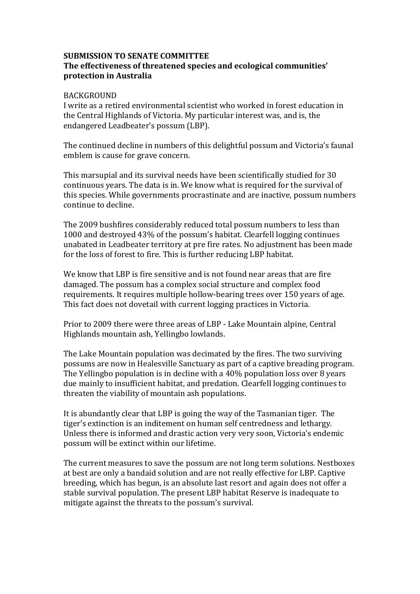## **SUBMISSION TO SENATE COMMITTEE The effectiveness of threatened species and ecological communities' protection in Australia**

## BACKGROUND

I write as a retired environmental scientist who worked in forest education in the Central Highlands of Victoria. My particular interest was, and is, the endangered Leadbeater's possum (LBP).

The continued decline in numbers of this delightful possum and Victoria's faunal emblem is cause for grave concern.

This marsupial and its survival needs have been scientifically studied for 30 continuous years. The data is in. We know what is required for the survival of this species. While governments procrastinate and are inactive, possum numbers continue to decline.

The 2009 bushfires considerably reduced total possum numbers to less than 1000 and destroyed 43% of the possum's habitat. Clearfell logging continues unabated in Leadbeater territory at pre fire rates. No adjustment has been made for the loss of forest to fire. This is further reducing LBP habitat.

We know that LBP is fire sensitive and is not found near areas that are fire damaged. The possum has a complex social structure and complex food requirements. It requires multiple hollow-bearing trees over 150 years of age. This fact does not dovetail with current logging practices in Victoria.

Prior to 2009 there were three areas of LBP - Lake Mountain alpine, Central Highlands mountain ash, Yellingbo lowlands.

The Lake Mountain population was decimated by the fires. The two surviving possums are now in Healesville Sanctuary as part of a captive breading program. The Yellingbo population is in decline with a 40% population loss over 8 years due mainly to insufficient habitat, and predation. Clearfell logging continues to threaten the viability of mountain ash populations.

It is abundantly clear that LBP is going the way of the Tasmanian tiger. The tiger's extinction is an inditement on human self centredness and lethargy. Unless there is informed and drastic action very very soon, Victoria's endemic possum will be extinct within our lifetime.

The current measures to save the possum are not long term solutions. Nestboxes at best are only a bandaid solution and are not really effective for LBP. Captive breeding, which has begun, is an absolute last resort and again does not offer a stable survival population. The present LBP habitat Reserve is inadequate to mitigate against the threats to the possum's survival.